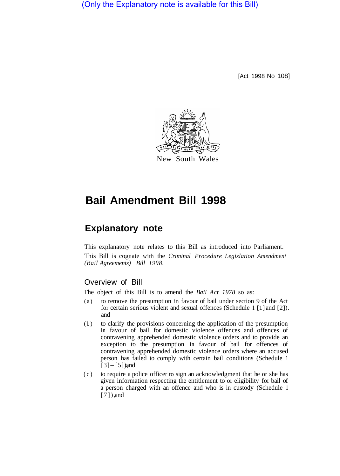(Only the Explanatory note is available for this Bill)

[Act 1998 No 108]



New South Wales

## **Bail Amendment Bill 1998**

## **Explanatory note**

This explanatory note relates to this Bill as introduced into Parliament. This Bill is cognate with the *Criminal Procedure Legislation Amendment (Bail Agreements) Bill 1998.* 

## Overview of Bill

The object of this Bill is to amend the *Bail Act 1978* so as:

- (a) to remove the presumption in favour of bail under section 9 of the Act for certain serious violent and sexual offences (Schedule 1 [1] and [2]). and
- (b) to clarify the provisions concerning the application of the presumption in favour of bail for domestic violence offences and offences of contravening apprehended domestic violence orders and to provide an exception to the presumption in favour of bail for offences of contravening apprehended domestic violence orders where an accused person has failed to comply with certain bail conditions (Schedule 1  $[3] - [5]$ ) and
- (c) to require a police officer to sign an acknowledgment that he or she has given information respecting the entitlement to or eligibility for bail of a person charged with an offence and who is in custody (Schedule 1 [7]), and